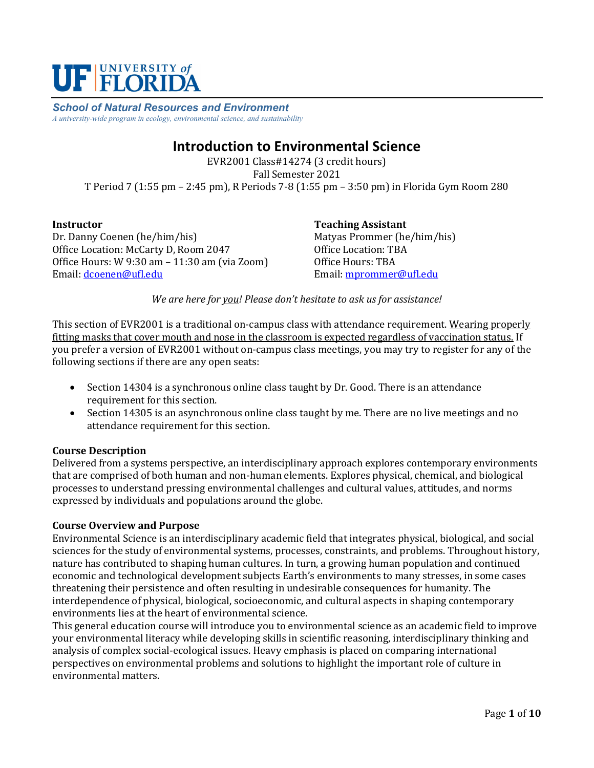

*School of Natural Resources and Environment A university-wide program in ecology, environmental science, and sustainability*

# **Introduction to Environmental Science**

EVR2001 Class#14274 (3 credit hours) Fall Semester 2021 T Period 7 (1:55 pm – 2:45 pm), R Periods 7-8 (1:55 pm – 3:50 pm) in Florida Gym Room 280

**Instructor** Dr. Danny Coenen (he/him/his) Office Location: McCarty D, Room 2047 Office Hours: W 9:30 am – 11:30 am (via Zoom) Email: [dcoenen@ufl.edu](mailto:dcoenen@ufl.edu)

**Teaching Assistant** Matyas Prommer (he/him/his) Office Location: TBA Office Hours: TBA Email: [mprommer@ufl.edu](mailto:mprommer@ufl.edu)

*We are here for you! Please don't hesitate to ask us for assistance!*

This section of EVR2001 is a traditional on-campus class with attendance requirement. Wearing properly fitting masks that cover mouth and nose in the classroom is expected regardless of vaccination status. If you prefer a version of EVR2001 without on-campus class meetings, you may try to register for any of the following sections if there are any open seats:

- Section 14304 is a synchronous online class taught by Dr. Good. There is an attendance requirement for this section.
- Section 14305 is an asynchronous online class taught by me. There are no live meetings and no attendance requirement for this section.

## **Course Description**

Delivered from a systems perspective, an interdisciplinary approach explores contemporary environments that are comprised of both human and non-human elements. Explores physical, chemical, and biological processes to understand pressing environmental challenges and cultural values, attitudes, and norms expressed by individuals and populations around the globe.

#### **Course Overview and Purpose**

Environmental Science is an interdisciplinary academic field that integrates physical, biological, and social sciences for the study of environmental systems, processes, constraints, and problems. Throughout history, nature has contributed to shaping human cultures. In turn, a growing human population and continued economic and technological development subjects Earth's environments to many stresses, in some cases threatening their persistence and often resulting in undesirable consequences for humanity. The interdependence of physical, biological, socioeconomic, and cultural aspects in shaping contemporary environments lies at the heart of environmental science.

This general education course will introduce you to environmental science as an academic field to improve your environmental literacy while developing skills in scientific reasoning, interdisciplinary thinking and analysis of complex social-ecological issues. Heavy emphasis is placed on comparing international perspectives on environmental problems and solutions to highlight the important role of culture in environmental matters.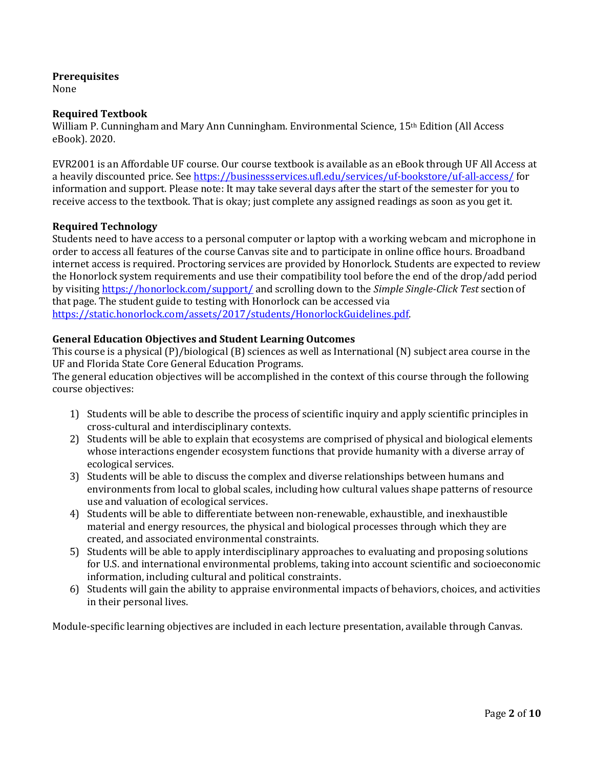## **Prerequisites**

None

## **Required Textbook**

William P. Cunningham and Mary Ann Cunningham. Environmental Science, 15<sup>th</sup> Edition (All Access) eBook). 2020.

EVR2001 is an Affordable UF course. Our course textbook is available as an eBook through UF All Access at a heavily discounted price. See<https://businessservices.ufl.edu/services/uf-bookstore/uf-all-access/> for information and support. Please note: It may take several days after the start of the semester for you to receive access to the textbook. That is okay; just complete any assigned readings as soon as you get it.

## **Required Technology**

Students need to have access to a personal computer or laptop with a working webcam and microphone in order to access all features of the course Canvas site and to participate in online office hours. Broadband internet access is required. Proctoring services are provided by Honorlock. Students are expected to review the Honorlock system requirements and use their compatibility tool before the end of the drop/add period by visiting<https://honorlock.com/support/> and scrolling down to the *Simple Single-Click Test* section of that page. The student guide to testing with Honorlock can be accessed via [https://static.honorlock.com/assets/2017/students/HonorlockGuidelines.pdf.](https://static.honorlock.com/assets/2017/students/HonorlockGuidelines.pdf)

## **General Education Objectives and Student Learning Outcomes**

This course is a physical (P)/biological (B) sciences as well as International (N) subject area course in the UF and Florida State Core General Education Programs.

The general education objectives will be accomplished in the context of this course through the following course objectives:

- 1) Students will be able to describe the process of scientific inquiry and apply scientific principles in cross-cultural and interdisciplinary contexts.
- 2) Students will be able to explain that ecosystems are comprised of physical and biological elements whose interactions engender ecosystem functions that provide humanity with a diverse array of ecological services.
- 3) Students will be able to discuss the complex and diverse relationships between humans and environments from local to global scales, including how cultural values shape patterns of resource use and valuation of ecological services.
- 4) Students will be able to differentiate between non-renewable, exhaustible, and inexhaustible material and energy resources, the physical and biological processes through which they are created, and associated environmental constraints.
- 5) Students will be able to apply interdisciplinary approaches to evaluating and proposing solutions for U.S. and international environmental problems, taking into account scientific and socioeconomic information, including cultural and political constraints.
- 6) Students will gain the ability to appraise environmental impacts of behaviors, choices, and activities in their personal lives.

Module-specific learning objectives are included in each lecture presentation, available through Canvas.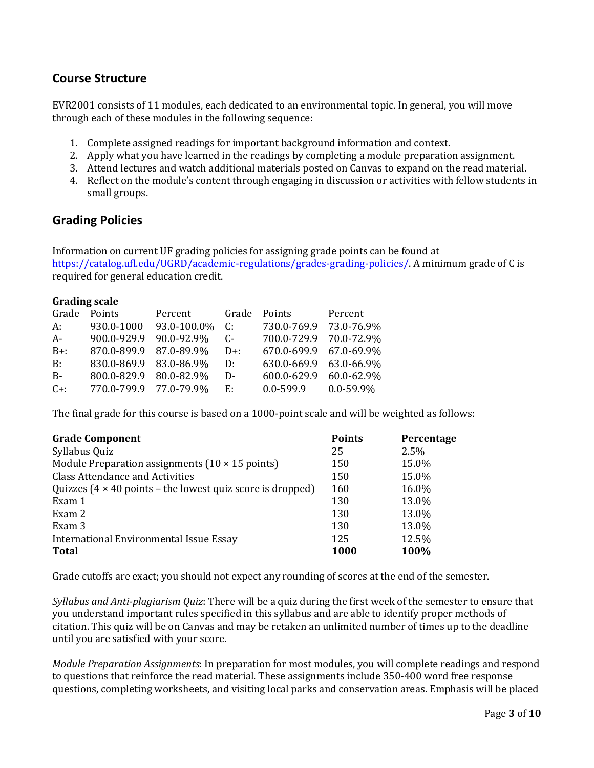## **Course Structure**

EVR2001 consists of 11 modules, each dedicated to an environmental topic. In general, you will move through each of these modules in the following sequence:

- 1. Complete assigned readings for important background information and context.
- 2. Apply what you have learned in the readings by completing a module preparation assignment.
- 3. Attend lectures and watch additional materials posted on Canvas to expand on the read material.
- 4. Reflect on the module's content through engaging in discussion or activities with fellow students in small groups.

## **Grading Policies**

Information on current UF grading policies for assigning grade points can be found at [https://catalog.ufl.edu/UGRD/academic-regulations/grades-grading-policies/.](https://catalog.ufl.edu/UGRD/academic-regulations/grades-grading-policies/) A minimum grade of C is required for general education credit.

| <b>Grading scale</b> |                        |             |        |               |                |  |  |
|----------------------|------------------------|-------------|--------|---------------|----------------|--|--|
| Grade                | Points                 | Percent     | Grade  | Points        | Percent        |  |  |
| А:                   | 930.0-1000             | 93.0-100.0% | C:     | 730.0-769.9   | 73.0-76.9%     |  |  |
| A-                   | 900.0-929.9            | 90.0-92.9%  | $C-$   | 700.0-729.9   | 70.0-72.9%     |  |  |
| $B+$ :               | 870.0-899.9            | 87.0-89.9%  | $D+$ : | 670.0-699.9   | 67.0-69.9%     |  |  |
| B:                   | 830.0-869.9            | 83.0-86.9%  | D:     | 630.0-669.9   | 63.0-66.9%     |  |  |
| $B-$                 | 800.0-829.9            | 80.0-82.9%  | D-     | 600.0-629.9   | 60.0-62.9%     |  |  |
| $C+$ :               | 770.0-799.9 77.0-79.9% |             | Е.     | $0.0 - 599.9$ | $0.0 - 59.9\%$ |  |  |
|                      |                        |             |        |               |                |  |  |

The final grade for this course is based on a 1000-point scale and will be weighted as follows:

| <b>Grade Component</b>                                                           | <b>Points</b> | Percentage |
|----------------------------------------------------------------------------------|---------------|------------|
| Syllabus Quiz                                                                    | 25            | 2.5%       |
| Module Preparation assignments $(10 \times 15 \text{ points})$                   | 150           | 15.0%      |
| <b>Class Attendance and Activities</b>                                           | 150           | 15.0%      |
| Quizzes $(4 \times 40 \text{ points} - \text{the lowest quiz score is dropped})$ | 160           | 16.0%      |
| Exam 1                                                                           | 130           | 13.0%      |
| Exam 2                                                                           | 130           | 13.0%      |
| Exam 3                                                                           | 130           | 13.0%      |
| International Environmental Issue Essay                                          | 125           | 12.5%      |
| <b>Total</b>                                                                     | <b>1000</b>   | 100%       |

Grade cutoffs are exact; you should not expect any rounding of scores at the end of the semester.

*Syllabus and Anti-plagiarism Quiz*: There will be a quiz during the first week of the semester to ensure that you understand important rules specified in this syllabus and are able to identify proper methods of citation. This quiz will be on Canvas and may be retaken an unlimited number of times up to the deadline until you are satisfied with your score.

*Module Preparation Assignments*: In preparation for most modules, you will complete readings and respond to questions that reinforce the read material. These assignments include 350-400 word free response questions, completing worksheets, and visiting local parks and conservation areas. Emphasis will be placed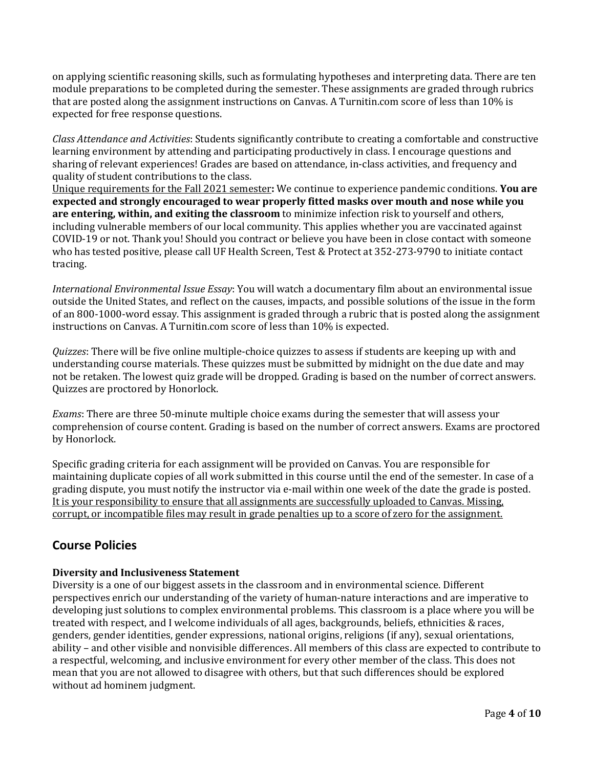on applying scientific reasoning skills, such as formulating hypotheses and interpreting data. There are ten module preparations to be completed during the semester. These assignments are graded through rubrics that are posted along the assignment instructions on Canvas. A Turnitin.com score of less than 10% is expected for free response questions.

*Class Attendance and Activities*: Students significantly contribute to creating a comfortable and constructive learning environment by attending and participating productively in class. I encourage questions and sharing of relevant experiences! Grades are based on attendance, in-class activities, and frequency and quality of student contributions to the class.

Unique requirements for the Fall 2021 semester**:** We continue to experience pandemic conditions. **You are expected and strongly encouraged to wear properly fitted masks over mouth and nose while you are entering, within, and exiting the classroom** to minimize infection risk to yourself and others, including vulnerable members of our local community. This applies whether you are vaccinated against COVID-19 or not. Thank you! Should you contract or believe you have been in close contact with someone who has tested positive, please call UF Health Screen, Test & Protect at 352-273-9790 to initiate contact tracing.

*International Environmental Issue Essay*: You will watch a documentary film about an environmental issue outside the United States, and reflect on the causes, impacts, and possible solutions of the issue in the form of an 800-1000-word essay. This assignment is graded through a rubric that is posted along the assignment instructions on Canvas. A Turnitin.com score of less than 10% is expected.

*Quizzes*: There will be five online multiple-choice quizzes to assess if students are keeping up with and understanding course materials. These quizzes must be submitted by midnight on the due date and may not be retaken. The lowest quiz grade will be dropped. Grading is based on the number of correct answers. Quizzes are proctored by Honorlock.

*Exams*: There are three 50-minute multiple choice exams during the semester that will assess your comprehension of course content. Grading is based on the number of correct answers. Exams are proctored by Honorlock.

Specific grading criteria for each assignment will be provided on Canvas. You are responsible for maintaining duplicate copies of all work submitted in this course until the end of the semester. In case of a grading dispute, you must notify the instructor via e-mail within one week of the date the grade is posted. It is your responsibility to ensure that all assignments are successfully uploaded to Canvas. Missing, corrupt, or incompatible files may result in grade penalties up to a score of zero for the assignment.

# **Course Policies**

## **Diversity and Inclusiveness Statement**

Diversity is a one of our biggest assets in the classroom and in environmental science. Different perspectives enrich our understanding of the variety of human-nature interactions and are imperative to developing just solutions to complex environmental problems. This classroom is a place where you will be treated with respect, and I welcome individuals of all ages, backgrounds, beliefs, ethnicities & races, genders, gender identities, gender expressions, national origins, religions (if any), sexual orientations, ability – and other visible and nonvisible differences. All members of this class are expected to contribute to a respectful, welcoming, and inclusive environment for every other member of the class. This does not mean that you are not allowed to disagree with others, but that such differences should be explored without ad hominem judgment.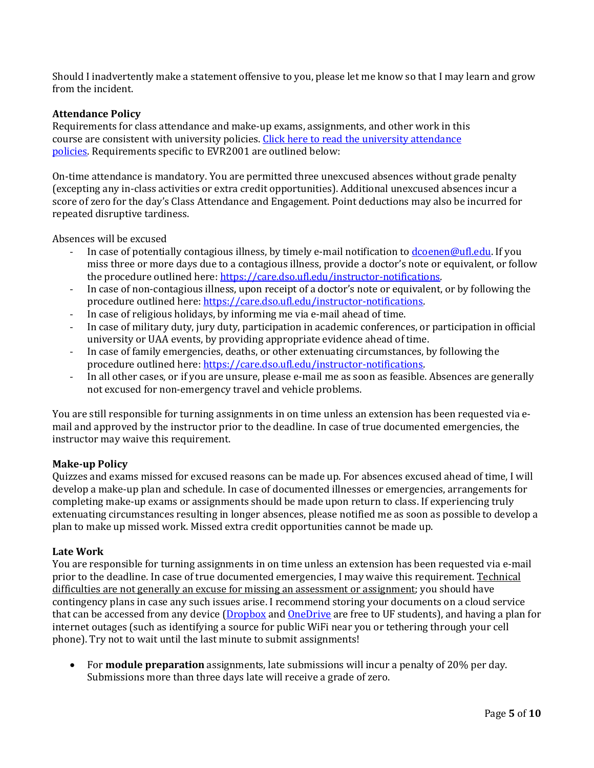Should I inadvertently make a statement offensive to you, please let me know so that I may learn and grow from the incident.

### **Attendance Policy**

Requirements for class attendance and make-up exams, assignments, and other work in this course are consistent with university policies. Click here to read the university attendance [policies.](https://catalog.ufl.edu/UGRD/academic-regulations/attendance-policies/) Requirements specific to EVR2001 are outlined below:

On-time attendance is mandatory. You are permitted three unexcused absences without grade penalty (excepting any in-class activities or extra credit opportunities). Additional unexcused absences incur a score of zero for the day's Class Attendance and Engagement. Point deductions may also be incurred for repeated disruptive tardiness.

Absences will be excused

- In case of potentially contagious illness, by timely e-mail notification t[o dcoenen@ufl.edu.](mailto:dcoenen@ufl.edu) If you miss three or more days due to a contagious illness, provide a doctor's note or equivalent, or follow the procedure outlined here: [https://care.dso.ufl.edu/instructor-notifications.](https://care.dso.ufl.edu/instructor-notifications)
- In case of non-contagious illness, upon receipt of a doctor's note or equivalent, or by following the procedure outlined here[: https://care.dso.ufl.edu/instructor-notifications.](https://care.dso.ufl.edu/instructor-notifications)
- In case of religious holidays, by informing me via e-mail ahead of time.
- In case of military duty, jury duty, participation in academic conferences, or participation in official university or UAA events, by providing appropriate evidence ahead of time.
- In case of family emergencies, deaths, or other extenuating circumstances, by following the procedure outlined here[: https://care.dso.ufl.edu/instructor-notifications.](https://care.dso.ufl.edu/instructor-notifications)
- In all other cases, or if you are unsure, please e-mail me as soon as feasible. Absences are generally not excused for non-emergency travel and vehicle problems.

You are still responsible for turning assignments in on time unless an extension has been requested via email and approved by the instructor prior to the deadline. In case of true documented emergencies, the instructor may waive this requirement.

#### **Make-up Policy**

Quizzes and exams missed for excused reasons can be made up. For absences excused ahead of time, I will develop a make-up plan and schedule. In case of documented illnesses or emergencies, arrangements for completing make-up exams or assignments should be made upon return to class. If experiencing truly extenuating circumstances resulting in longer absences, please notified me as soon as possible to develop a plan to make up missed work. Missed extra credit opportunities cannot be made up.

#### **Late Work**

You are responsible for turning assignments in on time unless an extension has been requested via e-mail prior to the deadline. In case of true documented emergencies, I may waive this requirement. Technical difficulties are not generally an excuse for missing an assessment or assignment; you should have contingency plans in case any such issues arise. I recommend storing your documents on a cloud service that can be accessed from any device [\(Dropbox](https://cloud.it.ufl.edu/collaboration-tools/dropbox/) and [OneDrive](https://cloud.it.ufl.edu/collaboration-tools/office-365/) are free to UF students), and having a plan for internet outages (such as identifying a source for public WiFi near you or tethering through your cell phone). Try not to wait until the last minute to submit assignments!

• For **module preparation** assignments, late submissions will incur a penalty of 20% per day. Submissions more than three days late will receive a grade of zero.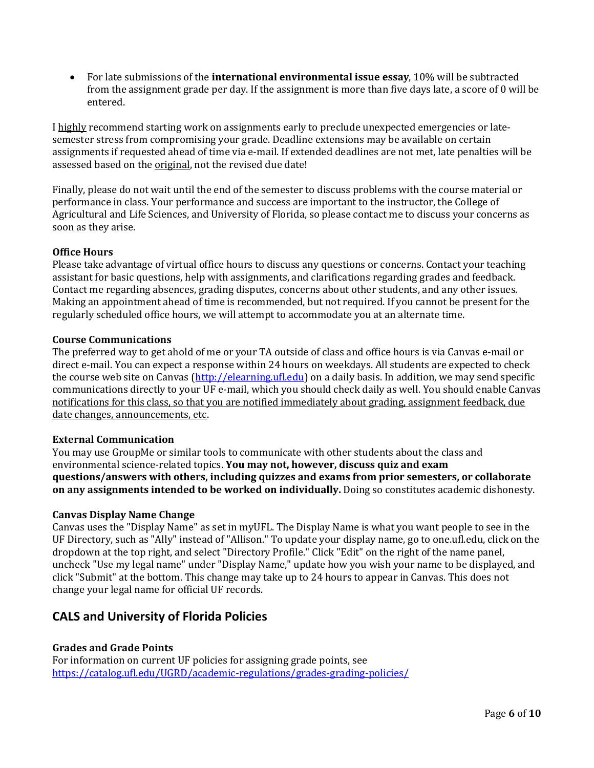• For late submissions of the **international environmental issue essay**, 10% will be subtracted from the assignment grade per day. If the assignment is more than five days late, a score of 0 will be entered.

I highly recommend starting work on assignments early to preclude unexpected emergencies or latesemester stress from compromising your grade. Deadline extensions may be available on certain assignments if requested ahead of time via e-mail. If extended deadlines are not met, late penalties will be assessed based on the original, not the revised due date!

Finally, please do not wait until the end of the semester to discuss problems with the course material or performance in class. Your performance and success are important to the instructor, the College of Agricultural and Life Sciences, and University of Florida, so please contact me to discuss your concerns as soon as they arise.

## **Office Hours**

Please take advantage of virtual office hours to discuss any questions or concerns. Contact your teaching assistant for basic questions, help with assignments, and clarifications regarding grades and feedback. Contact me regarding absences, grading disputes, concerns about other students, and any other issues. Making an appointment ahead of time is recommended, but not required. If you cannot be present for the regularly scheduled office hours, we will attempt to accommodate you at an alternate time.

#### **Course Communications**

The preferred way to get ahold of me or your TA outside of class and office hours is via Canvas e-mail or direct e-mail. You can expect a response within 24 hours on weekdays. All students are expected to check the course web site on Canvas [\(http://elearning.ufl.edu\)](http://elearning.ufl.edu/) on a daily basis. In addition, we may send specific communications directly to your UF e-mail, which you should check daily as well. You should enable Canvas notifications for this class, so that you are notified immediately about grading, assignment feedback, due date changes, announcements, etc.

#### **External Communication**

You may use GroupMe or similar tools to communicate with other students about the class and environmental science-related topics. **You may not, however, discuss quiz and exam questions/answers with others, including quizzes and exams from prior semesters, or collaborate on any assignments intended to be worked on individually.** Doing so constitutes academic dishonesty.

#### **Canvas Display Name Change**

Canvas uses the "Display Name" as set in myUFL. The Display Name is what you want people to see in the UF Directory, such as "Ally" instead of "Allison." To update your display name, go to one.ufl.edu, click on the dropdown at the top right, and select "Directory Profile." Click "Edit" on the right of the name panel, uncheck "Use my legal name" under "Display Name," update how you wish your name to be displayed, and click "Submit" at the bottom. This change may take up to 24 hours to appear in Canvas. This does not change your legal name for official UF records.

## **CALS and University of Florida Policies**

## **Grades and Grade Points**

For information on current UF policies for assigning grade points, see <https://catalog.ufl.edu/UGRD/academic-regulations/grades-grading-policies/>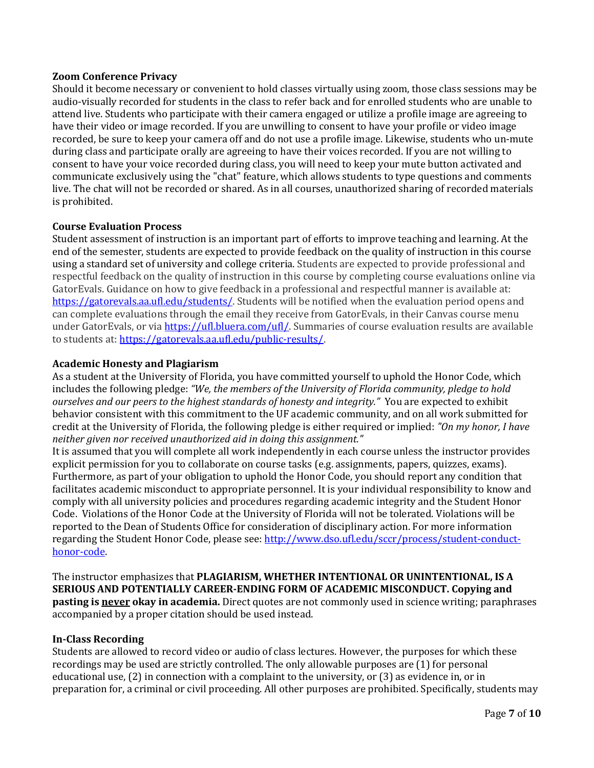## **Zoom Conference Privacy**

Should it become necessary or convenient to hold classes virtually using zoom, those class sessions may be audio-visually recorded for students in the class to refer back and for enrolled students who are unable to attend live. Students who participate with their camera engaged or utilize a profile image are agreeing to have their video or image recorded. If you are unwilling to consent to have your profile or video image recorded, be sure to keep your camera off and do not use a profile image. Likewise, students who un-mute during class and participate orally are agreeing to have their voices recorded. If you are not willing to consent to have your voice recorded during class, you will need to keep your mute button activated and communicate exclusively using the "chat" feature, which allows students to type questions and comments live. The chat will not be recorded or shared. As in all courses, unauthorized sharing of recorded materials is prohibited.

## **Course Evaluation Process**

Student assessment of instruction is an important part of efforts to improve teaching and learning. At the end of the semester, students are expected to provide feedback on the quality of instruction in this course using a standard set of university and college criteria. Students are expected to provide professional and respectful feedback on the quality of instruction in this course by completing course evaluations online via GatorEvals. Guidance on how to give feedback in a professional and respectful manner is available at: [https://gatorevals.aa.ufl.edu/students/.](https://gatorevals.aa.ufl.edu/students/) Students will be notified when the evaluation period opens and can complete evaluations through the email they receive from GatorEvals, in their Canvas course menu under GatorEvals, or vi[a https://ufl.bluera.com/ufl/.](https://ufl.bluera.com/ufl/) Summaries of course evaluation results are available to students at[: https://gatorevals.aa.ufl.edu/public-results/.](https://gatorevals.aa.ufl.edu/public-results/)

## **Academic Honesty and Plagiarism**

As a student at the University of Florida, you have committed yourself to uphold the Honor Code, which includes the following pledge: *"We, the members of the University of Florida community, pledge to hold ourselves and our peers to the highest standards of honesty and integrity."* You are expected to exhibit behavior consistent with this commitment to the UF academic community, and on all work submitted for credit at the University of Florida, the following pledge is either required or implied: *"On my honor, I have neither given nor received unauthorized aid in doing this assignment."*

It is assumed that you will complete all work independently in each course unless the instructor provides explicit permission for you to collaborate on course tasks (e.g. assignments, papers, quizzes, exams). Furthermore, as part of your obligation to uphold the Honor Code, you should report any condition that facilitates academic misconduct to appropriate personnel. It is your individual responsibility to know and comply with all university policies and procedures regarding academic integrity and the Student Honor Code. Violations of the Honor Code at the University of Florida will not be tolerated. Violations will be reported to the Dean of Students Office for consideration of disciplinary action. For more information regarding the Student Honor Code, please see[: http://www.dso.ufl.edu/sccr/process/student-conduct](http://www.dso.ufl.edu/sccr/process/student-conduct-honor-code)[honor-code.](http://www.dso.ufl.edu/sccr/process/student-conduct-honor-code)

The instructor emphasizes that **PLAGIARISM, WHETHER INTENTIONAL OR UNINTENTIONAL, IS A SERIOUS AND POTENTIALLY CAREER-ENDING FORM OF ACADEMIC MISCONDUCT. Copying and pasting is never okay in academia.** Direct quotes are not commonly used in science writing; paraphrases accompanied by a proper citation should be used instead.

#### **In-Class Recording**

Students are allowed to record video or audio of class lectures. However, the purposes for which these recordings may be used are strictly controlled. The only allowable purposes are (1) for personal educational use, (2) in connection with a complaint to the university, or (3) as evidence in, or in preparation for, a criminal or civil proceeding. All other purposes are prohibited. Specifically, students may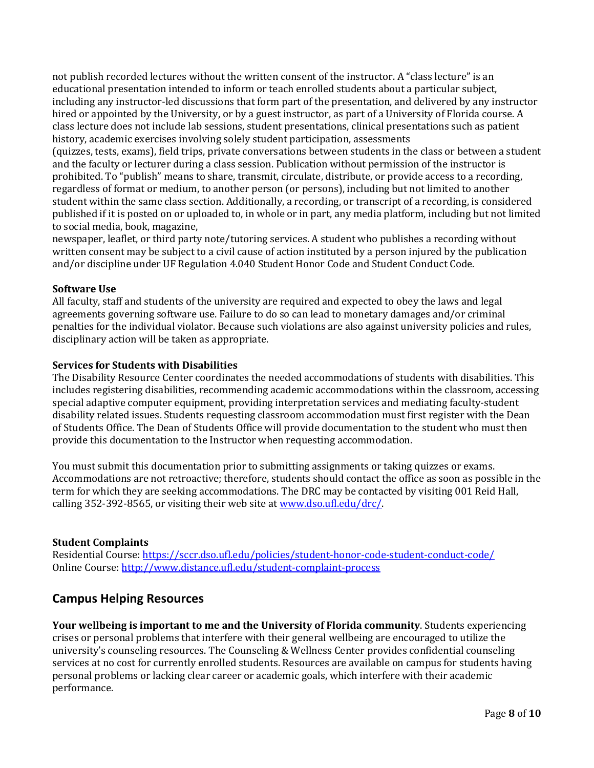not publish recorded lectures without the written consent of the instructor. A "class lecture" is an educational presentation intended to inform or teach enrolled students about a particular subject, including any instructor-led discussions that form part of the presentation, and delivered by any instructor hired or appointed by the University, or by a guest instructor, as part of a University of Florida course. A class lecture does not include lab sessions, student presentations, clinical presentations such as patient history, academic exercises involving solely student participation, assessments

(quizzes, tests, exams), field trips, private conversations between students in the class or between a student and the faculty or lecturer during a class session. Publication without permission of the instructor is prohibited. To "publish" means to share, transmit, circulate, distribute, or provide access to a recording, regardless of format or medium, to another person (or persons), including but not limited to another student within the same class section. Additionally, a recording, or transcript of a recording, is considered published if it is posted on or uploaded to, in whole or in part, any media platform, including but not limited to social media, book, magazine,

newspaper, leaflet, or third party note/tutoring services. A student who publishes a recording without written consent may be subject to a civil cause of action instituted by a person injured by the publication and/or discipline under UF Regulation 4.040 Student Honor Code and Student Conduct Code.

## **Software Use**

All faculty, staff and students of the university are required and expected to obey the laws and legal agreements governing software use. Failure to do so can lead to monetary damages and/or criminal penalties for the individual violator. Because such violations are also against university policies and rules, disciplinary action will be taken as appropriate.

## **Services for Students with Disabilities**

The Disability Resource Center coordinates the needed accommodations of students with disabilities. This includes registering disabilities, recommending academic accommodations within the classroom, accessing special adaptive computer equipment, providing interpretation services and mediating faculty-student disability related issues. Students requesting classroom accommodation must first register with the Dean of Students Office. The Dean of Students Office will provide documentation to the student who must then provide this documentation to the Instructor when requesting accommodation.

You must submit this documentation prior to submitting assignments or taking quizzes or exams. Accommodations are not retroactive; therefore, students should contact the office as soon as possible in the term for which they are seeking accommodations. The DRC may be contacted by visiting 001 Reid Hall, calling 352-392-8565, or visiting their web site a[t www.dso.ufl.edu/drc/.](http://www.dso.ufl.edu/drc/)

#### **Student Complaints**

Residential Course:<https://sccr.dso.ufl.edu/policies/student-honor-code-student-conduct-code/> Online Course[: http://www.distance.ufl.edu/student-complaint-process](http://www.distance.ufl.edu/student-complaint-process)

## **Campus Helping Resources**

**Your wellbeing is important to me and the University of Florida community**. Students experiencing crises or personal problems that interfere with their general wellbeing are encouraged to utilize the university's counseling resources. The Counseling & Wellness Center provides confidential counseling services at no cost for currently enrolled students. Resources are available on campus for students having personal problems or lacking clear career or academic goals, which interfere with their academic performance.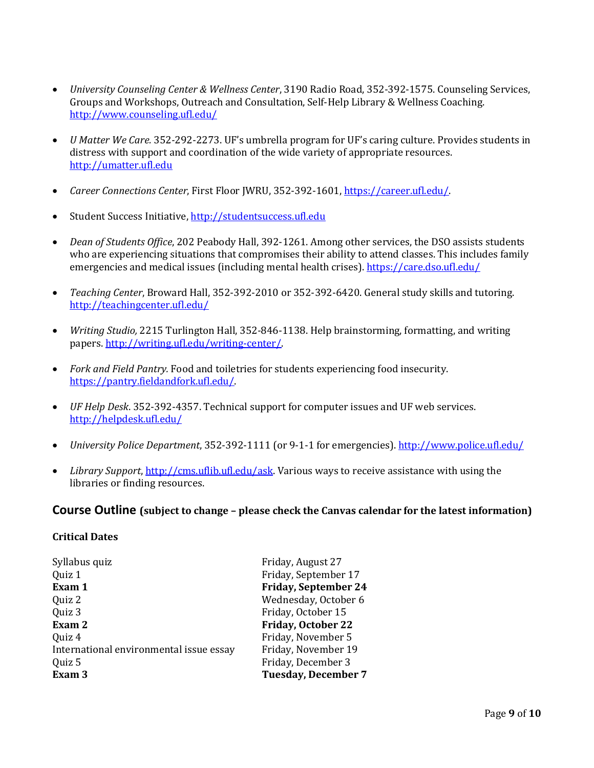- *University Counseling Center & Wellness Center*, 3190 Radio Road, 352-392-1575. Counseling Services, Groups and Workshops, Outreach and Consultation, Self-Help Library & Wellness Coaching. <http://www.counseling.ufl.edu/>
- *U Matter We Care.* 352*-*292-2273. UF's umbrella program for UF's caring culture. Provides students in distress with support and coordination of the wide variety of appropriate resources. [http://umatter.ufl.edu](http://umatter.ufl.edu/)
- *Career Connections Center*, First Floor JWRU, 352-392-1601, [https://career.ufl.edu/.](https://career.ufl.edu/)
- Student Success Initiative, [http://studentsuccess.ufl.edu](http://studentsuccess.ufl.edu/)
- *Dean of Students Office*, 202 Peabody Hall, 392-1261. Among other services, the DSO assists students who are experiencing situations that compromises their ability to attend classes. This includes family emergencies and medical issues (including mental health crises).<https://care.dso.ufl.edu/>
- *Teaching Center*, Broward Hall, 352-392-2010 or 352-392-6420. General study skills and tutoring. <http://teachingcenter.ufl.edu/>
- *Writing Studio,* 2215 Turlington Hall, 352*-*846-1138. Help brainstorming, formatting, and writing papers. [http://writing.ufl.edu/writing-center/.](http://writing.ufl.edu/writing-center/)
- *Fork and Field Pantry.* Food and toiletries for students experiencing food insecurity. [https://pantry.fieldandfork.ufl.edu/.](https://pantry.fieldandfork.ufl.edu/)
- *UF Help Desk*. 352-392-4357. Technical support for computer issues and UF web services. <http://helpdesk.ufl.edu/>
- *University Police Department*, 352-392-1111 (or 9-1-1 for emergencies).<http://www.police.ufl.edu/>
- *Library Support*, [http://cms.uflib.ufl.edu/ask.](http://cms.uflib.ufl.edu/ask) Various ways to receive assistance with using the libraries or finding resources.

## **Course Outline (subject to change – please check the Canvas calendar for the latest information)**

#### **Critical Dates**

| Syllabus quiz                           | Friday, August 27           |
|-----------------------------------------|-----------------------------|
| Quiz 1                                  | Friday, September 17        |
| Exam 1                                  | <b>Friday, September 24</b> |
| Quiz 2                                  | Wednesday, October 6        |
| Quiz 3                                  | Friday, October 15          |
| Exam 2                                  | <b>Friday, October 22</b>   |
| Quiz 4                                  | Friday, November 5          |
| International environmental issue essay | Friday, November 19         |
| Quiz 5                                  | Friday, December 3          |
| Exam 3                                  | <b>Tuesday, December 7</b>  |